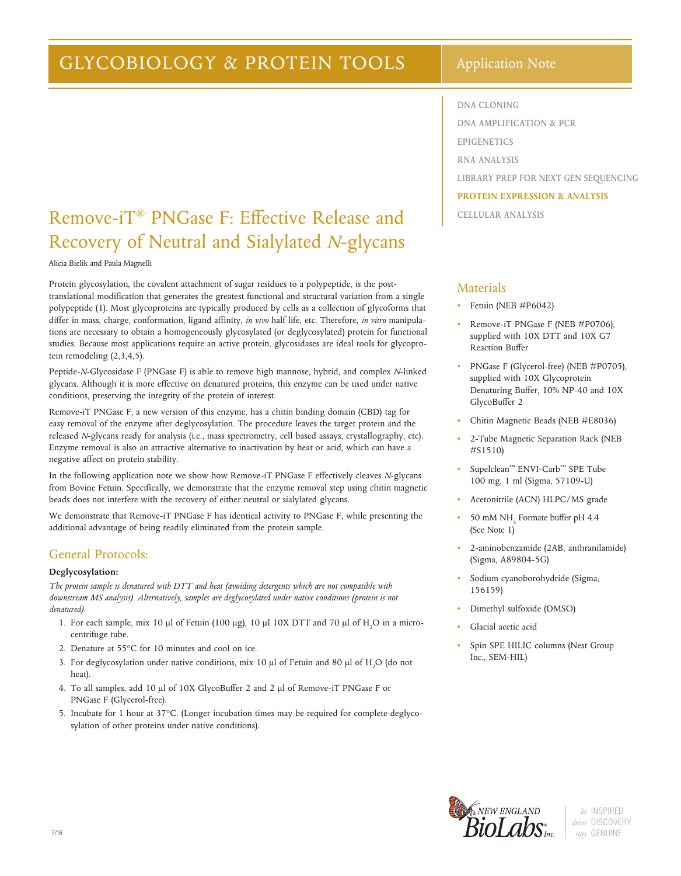# GLYCOBIOLOGY & PROTEIN TOOLS | Application Note

# Remove-iT® PNGase F: Effective Release and Recovery of Neutral and Sialylated *N*-glycans

Alicia Bielik and Paula Magnelli

Protein glycosylation, the covalent attachment of sugar residues to a polypeptide, is the posttranslational modification that generates the greatest functional and structural variation from a single polypeptide (1). Most glycoproteins are typically produced by cells as a collection of glycoforms that differ in mass, charge, conformation, ligand affinity, *in vivo* half life, etc. Therefore, *in vitro* manipulations are necessary to obtain a homogeneously glycosylated (or deglycosylated) protein for functional studies. Because most applications require an active protein, glycosidases are ideal tools for glycoprotein remodeling (2,3,4,5).

Peptide-*N*-Glycosidase F (PNGase F) is able to remove high mannose, hybrid, and complex *N*-linked glycans. Although it is more effective on denatured proteins, this enzyme can be used under native conditions, preserving the integrity of the protein of interest.

Remove-iT PNGase F, a new version of this enzyme, has a chitin binding domain (CBD) tag for easy removal of the enzyme after deglycosylation. The procedure leaves the target protein and the released *N*-glycans ready for analysis (i.e., mass spectrometry, cell based assays, crystallography, etc). Enzyme removal is also an attractive alternative to inactivation by heat or acid, which can have a negative affect on protein stability.

In the following application note we show how Remove-iT PNGase F effectively cleaves *N*-glycans from Bovine Fetuin. Specifically, we demonstrate that the enzyme removal step using chitin magnetic beads does not interfere with the recovery of either neutral or sialylated glycans.

We demonstrate that Remove-iT PNGase F has identical activity to PNGase F, while presenting the additional advantage of being readily eliminated from the protein sample.

### General Protocols:

### **Deglycosylation:**

*The protein sample is denatured with DTT and heat (avoiding detergents which are not compatible with downstream MS analysis). Alternatively, samples are deglycosylated under native conditions (protein is not denatured).*

- 1. For each sample, mix 10  $\mu$ l of Fetuin (100  $\mu$ g), 10  $\mu$ l 10X DTT and 70  $\mu$ l of H<sub>2</sub>O in a microcentrifuge tube.
- 2. Denature at 55°C for 10 minutes and cool on ice.
- 3. For deglycosylation under native conditions, mix 10  $\mu$ l of Fetuin and 80  $\mu$ l of H<sub>2</sub>O (do not heat).
- 4. To all samples, add 10 µl of 10X GlycoBuffer 2 and 2 µl of Remove-iT PNGase F or PNGase F (Glycerol-free).
- 5. Incubate for 1 hour at 37°C. (Longer incubation times may be required for complete deglycosylation of other proteins under native conditions).

**DNA CLONING DNA AMPLIFICATION & PCR EPIGENETICS RNA ANALYSIS LIBRARY PREP FOR NEXT GEN SEQUENCING PROTEIN EXPRESSION & ANALYSIS CELLULAR ANALYSIS**

### Materials

- Fetuin (NEB #P6042)
- Remove-iT PNGase F (NEB #P0706), supplied with 10X DTT and 10X G7 Reaction Buffer
- PNGase F (Glycerol-free) (NEB #P0705), supplied with 10X Glycoprotein Denaturing Buffer, 10% NP-40 and 10X GlycoBuffer 2
- Chitin Magnetic Beads (NEB #E8036)
- 2-Tube Magnetic Separation Rack (NEB #S1510)
- Supelclean™ ENVI-Carb™ SPE Tube 100 mg, 1 ml (Sigma, 57109-U)
- Acetonitrile (ACN) HLPC/MS grade
- $\bullet$  50 mM NH<sub>4</sub> Formate buffer pH 4.4 (See Note 1)
- 2-aminobenzamide (2AB, anthranilamide) (Sigma, A89804-5G)
- Sodium cyanoborohydride (Sigma, 156159)
- Dimethyl sulfoxide (DMSO)
- Glacial acetic acid
- Spin SPE HILIC columns (Nest Group Inc., SEM-HIL)

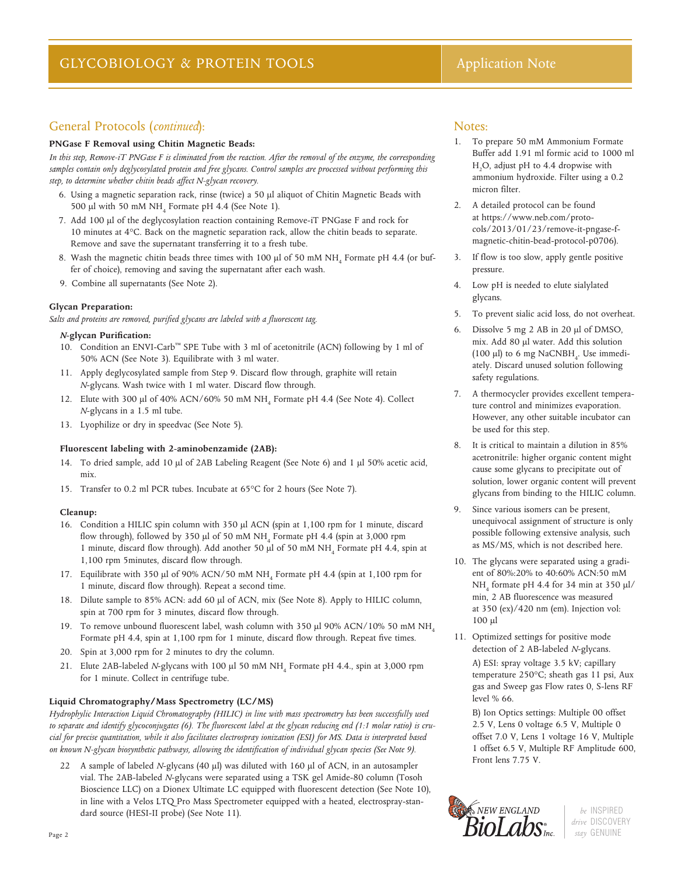### General Protocols (*continued*):

#### **PNGase F Removal using Chitin Magnetic Beads:**

*In this step, Remove-iT PNGase F is eliminated from the reaction. After the removal of the enzyme, the corresponding samples contain only deglycosylated protein and free glycans. Control samples are processed without performing this step, to determine whether chitin beads affect N-glycan recovery.*

- 6. Using a magnetic separation rack, rinse (twice) a 50 µl aliquot of Chitin Magnetic Beads with 500  $\mu$ l with 50 mM NH<sub>4</sub> Formate pH 4.4 (See Note 1).
- 7. Add 100 µl of the deglycosylation reaction containing Remove-iT PNGase F and rock for 10 minutes at 4°C. Back on the magnetic separation rack, allow the chitin beads to separate. Remove and save the supernatant transferring it to a fresh tube.
- 8. Wash the magnetic chitin beads three times with 100  $\mu$ l of 50 mM NH<sub>4</sub> Formate pH 4.4 (or buffer of choice), removing and saving the supernatant after each wash.
- 9. Combine all supernatants (See Note 2).

#### **Glycan Preparation:**

*Salts and proteins are removed, purified glycans are labeled with a fluorescent tag.*

#### *N***-glycan Purification:**

- 10. Condition an ENVI-Carb™ SPE Tube with 3 ml of acetonitrile (ACN) following by 1 ml of 50% ACN (See Note 3). Equilibrate with 3 ml water.
- 11. Apply deglycosylated sample from Step 9. Discard flow through, graphite will retain *N*-glycans. Wash twice with 1 ml water. Discard flow through.
- 12. Elute with 300 µl of 40% ACN/60% 50 mM NH<sub>4</sub> Formate pH 4.4 (See Note 4). Collect *N*-glycans in a 1.5 ml tube.
- 13. Lyophilize or dry in speedvac (See Note 5).

#### **Fluorescent labeling with 2-aminobenzamide (2AB):**

- 14. To dried sample, add 10 µl of 2AB Labeling Reagent (See Note 6) and 1 µl 50% acetic acid, mix.
- 15. Transfer to 0.2 ml PCR tubes. Incubate at 65°C for 2 hours (See Note 7).

#### **Cleanup:**

- 16. Condition a HILIC spin column with 350 µl ACN (spin at 1,100 rpm for 1 minute, discard flow through), followed by 350  $\mu$ l of 50 mM NH<sub>4</sub> Formate pH 4.4 (spin at 3,000 rpm 1 minute, discard flow through). Add another 50  $\mu$ l of 50 mM NH<sub>4</sub> Formate pH 4.4, spin at 1,100 rpm 5minutes, discard flow through.
- 17. Equilibrate with 350 µl of 90% ACN/50 mM NH<sub>4</sub> Formate pH 4.4 (spin at 1,100 rpm for 1 minute, discard flow through). Repeat a second time.
- 18. Dilute sample to 85% ACN: add 60 µl of ACN, mix (See Note 8). Apply to HILIC column, spin at 700 rpm for 3 minutes, discard flow through.
- 19. To remove unbound fluorescent label, wash column with 350  $\mu$ l 90% ACN/10% 50 mM NH<sub>4</sub> Formate pH 4.4, spin at 1,100 rpm for 1 minute, discard flow through. Repeat five times.
- 20. Spin at 3,000 rpm for 2 minutes to dry the column.
- 21. Elute 2AB-labeled *N*-glycans with 100 µl 50 mM NH<sub>4</sub> Formate pH 4.4., spin at 3,000 rpm for 1 minute. Collect in centrifuge tube.

#### **Liquid Chromatography/Mass Spectrometry (LC/MS)**

*Hydrophylic Interaction Liquid Chromatography (HILIC) in line with mass spectrometry has been successfully used to separate and identify glycoconjugates (6). The fluorescent label at the glycan reducing end (1:1 molar ratio) is crucial for precise quantitation, while it also facilitates electrospray ionization (ESI) for MS. Data is interpreted based on known N-glycan biosynthetic pathways, allowing the identification of individual glycan species (See Note 9).* 

22 A sample of labeled *N*-glycans (40 µl) was diluted with 160 µl of ACN, in an autosampler vial. The 2AB-labeled *N*-glycans were separated using a TSK gel Amide-80 column (Tosoh Bioscience LLC) on a Dionex Ultimate LC equipped with fluorescent detection (See Note 10), in line with a Velos LTQ Pro Mass Spectrometer equipped with a heated, electrospray-standard source (HESI-II probe) (See Note 11).

### Notes:

- 1. To prepare 50 mM Ammonium Formate Buffer add 1.91 ml formic acid to 1000 ml H2 O, adjust pH to 4.4 dropwise with ammonium hydroxide. Filter using a 0.2 micron filter.
- 2. A detailed protocol can be found at https://www.neb.com/protocols/2013/01/23/remove-it-pngase-fmagnetic-chitin-bead-protocol-p0706).
- 3. If flow is too slow, apply gentle positive pressure.
- 4. Low pH is needed to elute sialylated glycans.
- 5. To prevent sialic acid loss, do not overheat.
- Dissolve 5 mg 2 AB in 20 μl of DMSO, mix. Add 80 µl water. Add this solution (100  $\mu$ l) to 6 mg NaCNBH<sub>4</sub>. Use immediately. Discard unused solution following safety regulations.
- A thermocycler provides excellent temperature control and minimizes evaporation. However, any other suitable incubator can be used for this step.
- 8. It is critical to maintain a dilution in 85% acetronitrile: higher organic content might cause some glycans to precipitate out of solution, lower organic content will prevent glycans from binding to the HILIC column.
- 9. Since various isomers can be present, unequivocal assignment of structure is only possible following extensive analysis, such as MS/MS, which is not described here.
- 10. The glycans were separated using a gradient of 80%:20% to 40:60% ACN:50 mM  $NH<sub>4</sub>$  formate pH 4.4 for 34 min at 350  $\mu$ l/ min, 2 AB fluorescence was measured at 350 (ex)/420 nm (em). Injection vol: 100 µl
- 11. Optimized settings for positive mode detection of 2 AB-labeled *N*-glycans. A) ESI: spray voltage 3.5 kV; capillary temperature 250°C; sheath gas 11 psi, Aux gas and Sweep gas Flow rates 0, S-lens RF level % 66.

B) Ion Optics settings: Multiple 00 offset 2.5 V, Lens 0 voltage 6.5 V, Multiple 0 offset 7.0 V, Lens 1 voltage 16 V, Multiple 1 offset 6.5 V, Multiple RF Amplitude 600, Front lens 7.75 V.



*be* INSPIRED *drive* DISCOVERY *stay* GENUINE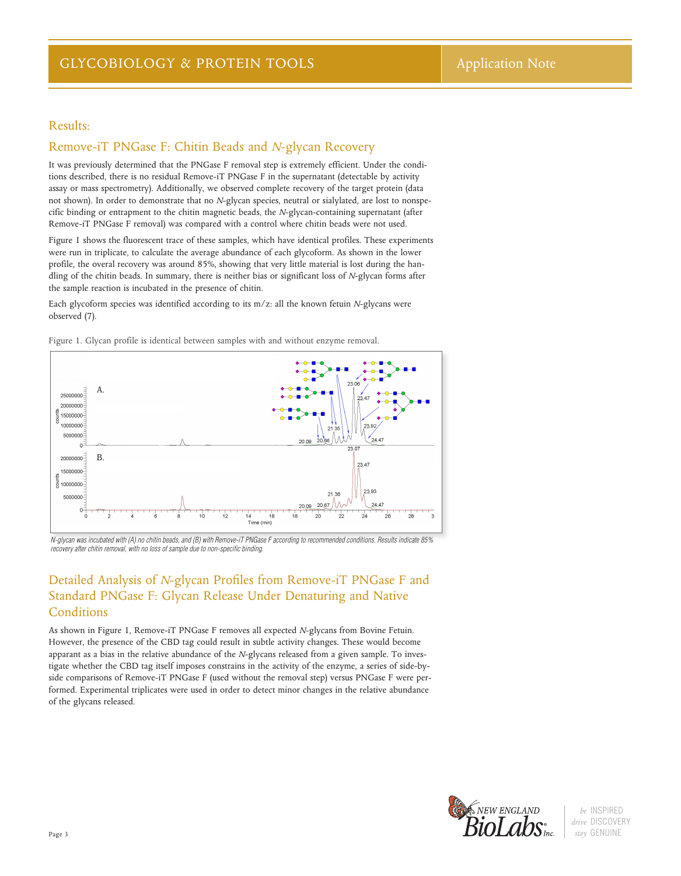### Results:

### Remove-iT PNGase F: Chitin Beads and *N*-glycan Recovery

It was previously determined that the PNGase F removal step is extremely efficient. Under the conditions described, there is no residual Remove-iT PNGase F in the supernatant (detectable by activity assay or mass spectrometry). Additionally, we observed complete recovery of the target protein (data not shown). In order to demonstrate that no *N*-glycan species, neutral or sialylated, are lost to nonspecific binding or entrapment to the chitin magnetic beads, the *N*-glycan-containing supernatant (after Remove-iT PNGase F removal) was compared with a control where chitin beads were not used.

Figure 1 shows the fluorescent trace of these samples, which have identical profiles. These experiments were run in triplicate, to calculate the average abundance of each glycoform. As shown in the lower profile, the overal recovery was around 85%, showing that very little material is lost during the handling of the chitin beads. In summary, there is neither bias or significant loss of *N*-glycan forms after the sample reaction is incubated in the presence of chitin.

Each glycoform species was identified according to its m/z: all the known fetuin *N*-glycans were observed (7).



Figure 1. Glycan profile is identical between samples with and without enzyme removal.

*N-glycan was incubated with (A) no chitin beads, and (B) with Remove-iT PNGase F according to recommended conditions. Results indicate 85% recovery after chitin removal, with no loss of sample due to non-specific binding.*

## Detailed Analysis of *N*-glycan Profiles from Remove-iT PNGase F and Standard PNGase F: Glycan Release Under Denaturing and Native Conditions

As shown in Figure 1, Remove-iT PNGase F removes all expected *N*-glycans from Bovine Fetuin. However, the presence of the CBD tag could result in subtle activity changes. These would become apparant as a bias in the relative abundance of the *N*-glycans released from a given sample. To investigate whether the CBD tag itself imposes constrains in the activity of the enzyme, a series of side-byside comparisons of Remove-iT PNGase F (used without the removal step) versus PNGase F were performed. Experimental triplicates were used in order to detect minor changes in the relative abundance of the glycans released.



*be* INSPIRED *drive* DISCOVERY